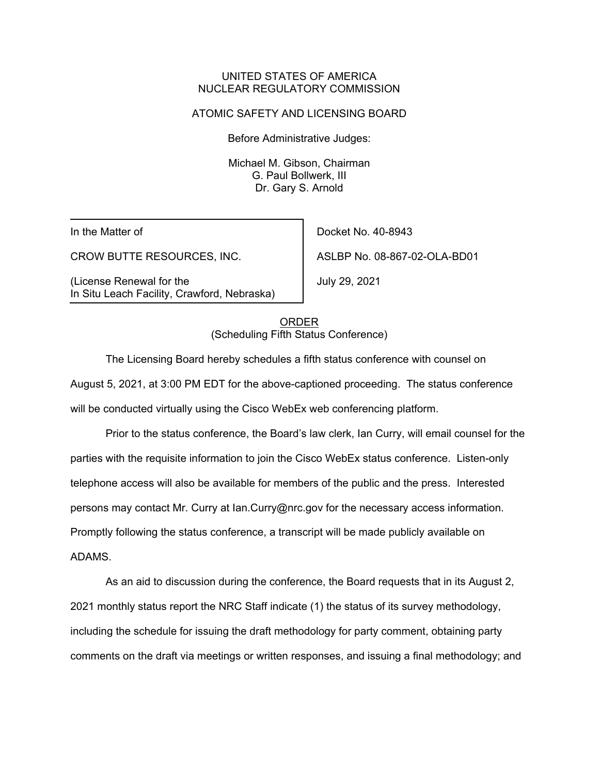## UNITED STATES OF AMERICA NUCLEAR REGULATORY COMMISSION

### ATOMIC SAFETY AND LICENSING BOARD

Before Administrative Judges:

Michael M. Gibson, Chairman G. Paul Bollwerk, III Dr. Gary S. Arnold

In the Matter of

CROW BUTTE RESOURCES, INC.

(License Renewal for the In Situ Leach Facility, Crawford, Nebraska)

Docket No. 40-8943 ASLBP No. 08-867-02-OLA-BD01

July 29, 2021

ORDER (Scheduling Fifth Status Conference)

The Licensing Board hereby schedules a fifth status conference with counsel on August 5, 2021, at 3:00 PM EDT for the above-captioned proceeding. The status conference will be conducted virtually using the Cisco WebEx web conferencing platform.

Prior to the status conference, the Board's law clerk, Ian Curry, will email counsel for the parties with the requisite information to join the Cisco WebEx status conference. Listen-only telephone access will also be available for members of the public and the press. Interested persons may contact Mr. Curry at Ian.Curry@nrc.gov for the necessary access information. Promptly following the status conference, a transcript will be made publicly available on ADAMS.

As an aid to discussion during the conference, the Board requests that in its August 2, 2021 monthly status report the NRC Staff indicate (1) the status of its survey methodology, including the schedule for issuing the draft methodology for party comment, obtaining party comments on the draft via meetings or written responses, and issuing a final methodology; and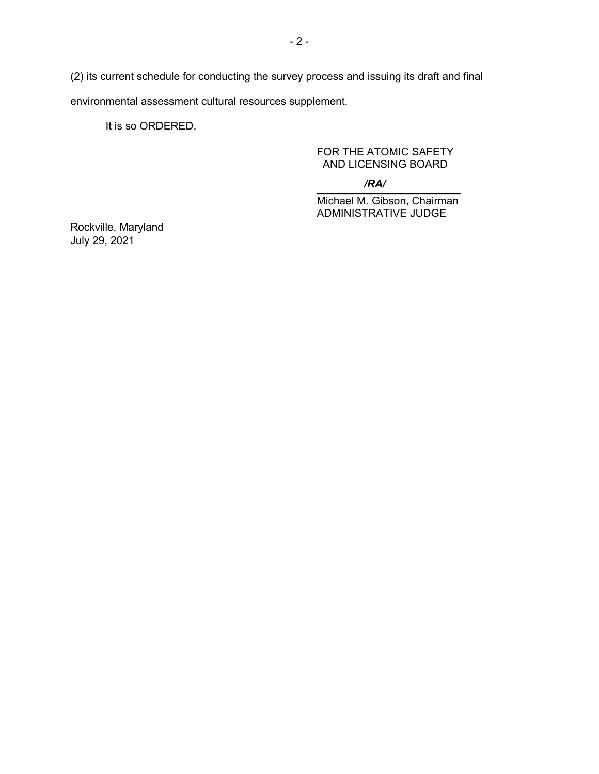(2) its current schedule for conducting the survey process and issuing its draft and final environmental assessment cultural resources supplement.

It is so ORDERED.

# FOR THE ATOMIC SAFETY AND LICENSING BOARD

#### $\overline{I}$ */RA/*

Michael M. Gibson, Chairman ADMINISTRATIVE JUDGE

Rockville, Maryland July 29, 2021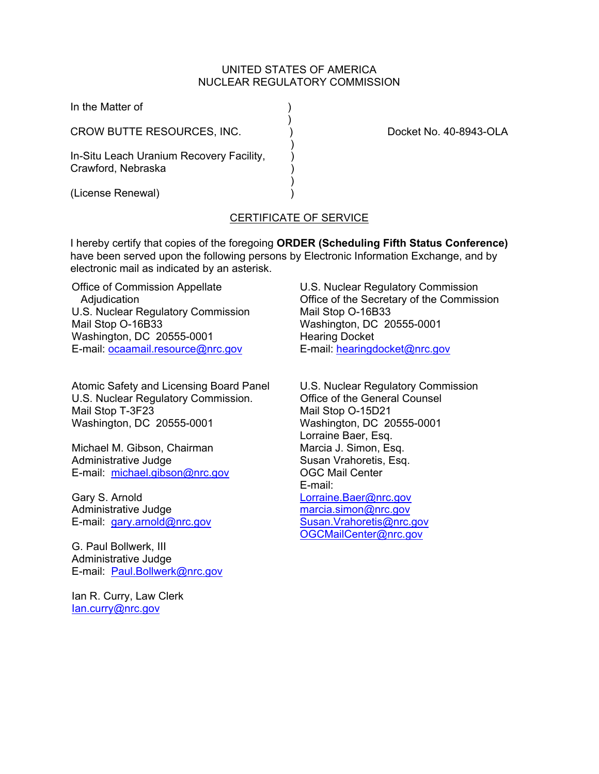### UNITED STATES OF AMERICA NUCLEAR REGULATORY COMMISSION

| In the Matter of                                               |                        |
|----------------------------------------------------------------|------------------------|
| CROW BUTTE RESOURCES, INC.                                     | Docket No. 40-8943-OLA |
| In-Situ Leach Uranium Recovery Facility,<br>Crawford, Nebraska |                        |
| (License Renewal)                                              |                        |

# CERTIFICATE OF SERVICE

I hereby certify that copies of the foregoing **ORDER (Scheduling Fifth Status Conference)** have been served upon the following persons by Electronic Information Exchange, and by electronic mail as indicated by an asterisk.

Office of Commission Appellate Adjudication U.S. Nuclear Regulatory Commission Mail Stop O-16B33 Washington, DC 20555-0001 E-mail: ocaamail.resource@nrc.gov

Atomic Safety and Licensing Board Panel U.S. Nuclear Regulatory Commission. Mail Stop T-3F23 Washington, DC 20555-0001

Michael M. Gibson, Chairman Administrative Judge E-mail: michael.gibson@nrc.gov

Gary S. Arnold Administrative Judge E-mail: gary.arnold@nrc.gov

G. Paul Bollwerk, III Administrative Judge E-mail: Paul.Bollwerk@nrc.gov

Ian R. Curry, Law Clerk Ian.curry@nrc.gov

U.S. Nuclear Regulatory Commission Office of the Secretary of the Commission Mail Stop O-16B33 Washington, DC 20555-0001 Hearing Docket E-mail: hearingdocket@nrc.gov

U.S. Nuclear Regulatory Commission Office of the General Counsel Mail Stop O-15D21 Washington, DC 20555-0001 Lorraine Baer, Esq. Marcia J. Simon, Esq. Susan Vrahoretis, Esq. OGC Mail Center E-mail: Lorraine.Baer@nrc.gov marcia.simon@nrc.gov Susan.Vrahoretis@nrc.gov OGCMailCenter@nrc.gov